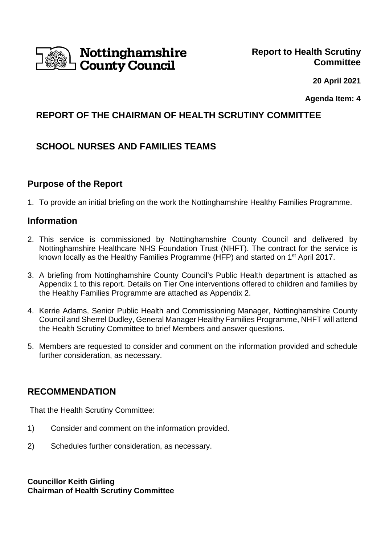

 **20 April 2021**

**Agenda Item: 4** 

## **REPORT OF THE CHAIRMAN OF HEALTH SCRUTINY COMMITTEE**

# **SCHOOL NURSES AND FAMILIES TEAMS**

## **Purpose of the Report**

1. To provide an initial briefing on the work the Nottinghamshire Healthy Families Programme.

#### **Information**

- 2. This service is commissioned by Nottinghamshire County Council and delivered by Nottinghamshire Healthcare NHS Foundation Trust (NHFT). The contract for the service is known locally as the Healthy Families Programme (HFP) and started on 1st April 2017.
- 3. A briefing from Nottinghamshire County Council's Public Health department is attached as Appendix 1 to this report. Details on Tier One interventions offered to children and families by the Healthy Families Programme are attached as Appendix 2.
- 4. Kerrie Adams, Senior Public Health and Commissioning Manager, Nottinghamshire County Council and Sherrel Dudley, General Manager Healthy Families Programme, NHFT will attend the Health Scrutiny Committee to brief Members and answer questions.
- 5. Members are requested to consider and comment on the information provided and schedule further consideration, as necessary.

## **RECOMMENDATION**

That the Health Scrutiny Committee:

- 1) Consider and comment on the information provided.
- 2) Schedules further consideration, as necessary.

**Councillor Keith Girling Chairman of Health Scrutiny Committee**